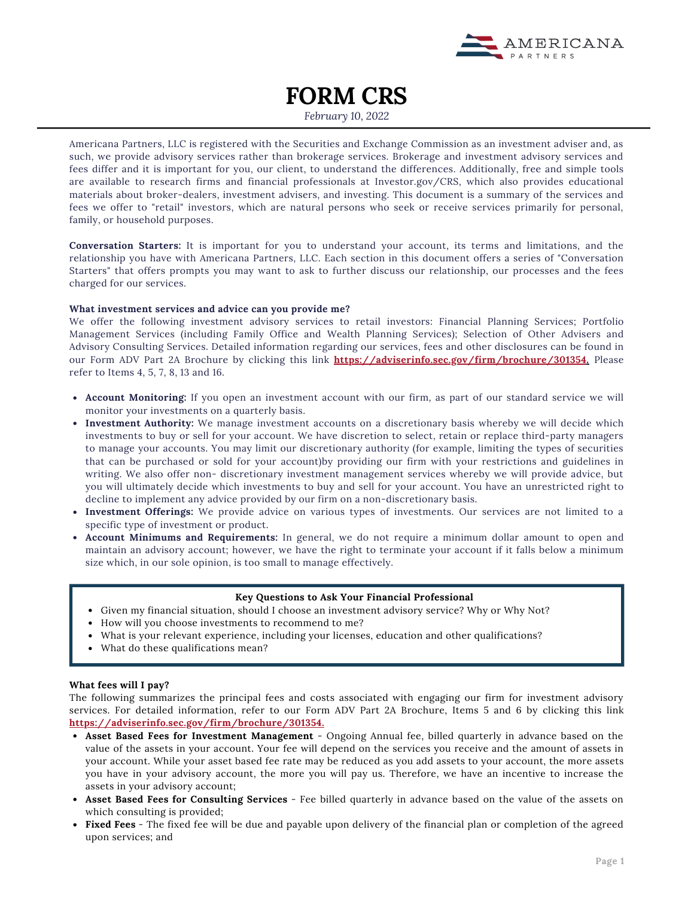

# **FORM CRS**

*February 10, 2022*

Americana Partners, LLC is registered with the Securities and Exchange Commission as an investment adviser and, as such, we provide advisory services rather than brokerage services. Brokerage and investment advisory services and fees differ and it is important for you, our client, to understand the differences. Additionally, free and simple tools are available to research firms and financial professionals at [Investor.gov/CRS,](http://www.investor.gov/CRS) which also provides educational materials about broker-dealers, investment advisers, and investing. This document is a summary of the services and fees we offer to "retail" investors, which are natural persons who seek or receive services primarily for personal, family, or household purposes.

**Conversation Starters:** It is important for you to understand your account, its terms and limitations, and the relationship you have with Americana Partners, LLC. Each section in this document offers a series of "Conversation Starters" that offers prompts you may want to ask to further discuss our relationship, our processes and the fees charged for our services.

#### **What investment services and advice can you provide me?**

We offer the following investment advisory services to retail investors: Financial Planning Services; Portfolio Management Services (including Family Office and Wealth Planning Services); Selection of Other Advisers and Advisory Consulting Services. Detailed information regarding our services, fees and other disclosures can be found in our Form ADV Part 2A Brochure by clicking this link **[https://adviserinfo.sec.gov/firm/brochure/301354.](https://adviserinfo.sec.gov/firm/brochure/301354)** Please refer to Items 4, 5, 7, 8, 13 and 16.

- **Account Monitoring:** If you open an investment account with our firm, as part of our standard service we will monitor your investments on a quarterly basis.
- **Investment Authority:** We manage investment accounts on a discretionary basis whereby we will decide which investments to buy or sell for your account. We have discretion to select, retain or replace third-party managers to manage your accounts. You may limit our discretionary authority (for example, limiting the types of securities that can be purchased or sold for your account)by providing our firm with your restrictions and guidelines in writing. We also offer non- discretionary investment management services whereby we will provide advice, but you will ultimately decide which investments to buy and sell for your account. You have an unrestricted right to decline to implement any advice provided by our firm on a non-discretionary basis.
- **Investment Offerings:** We provide advice on various types of investments. Our services are not limited to a specific type of investment or product.
- **Account Minimums and Requirements:** In general, we do not require a minimum dollar amount to open and maintain an advisory account; however, we have the right to terminate your account if it falls below a minimum size which, in our sole opinion, is too small to manage effectively.

### **Key Questions to Ask Your Financial Professional**

- Given my financial situation, should I choose an investment advisory service? Why or Why Not?
- How will you choose investments to recommend to me?
- What is your relevant experience, including your licenses, education and other qualifications?
- What do these qualifications mean?

### **What fees will I pay?**

The following summarizes the principal fees and costs associated with engaging our firm for investment advisory services. For detailed information, refer to our Form ADV Part 2A Brochure, Items 5 and 6 by clicking this link **<https://adviserinfo.sec.gov/firm/brochure/301354>.**

- **Asset Based Fees for Investment Management** Ongoing Annual fee, billed quarterly in advance based on the value of the assets in your account. Your fee will depend on the services you receive and the amount of assets in your account. While your asset based fee rate may be reduced as you add assets to your account, the more assets you have in your advisory account, the more you will pay us. Therefore, we have an incentive to increase the assets in your advisory account;
- **Asset Based Fees for Consulting Services** Fee billed quarterly in advance based on the value of the assets on which consulting is provided;
- **Fixed Fees** The fixed fee will be due and payable upon delivery of the financial plan or completion of the agreed upon services; and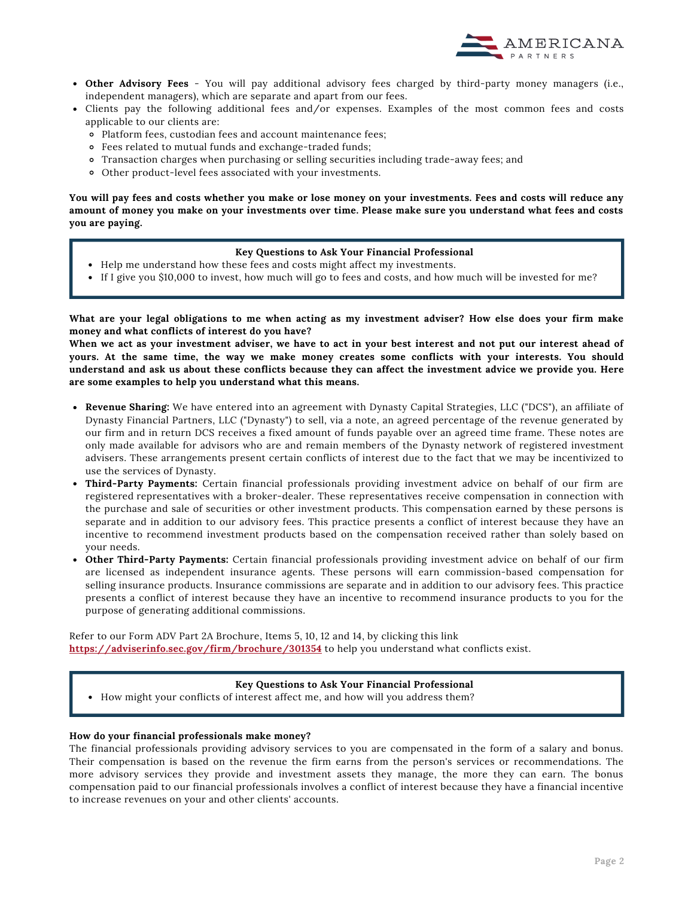

- **Other Advisory Fees** You will pay additional advisory fees charged by third-party money managers (i.e., independent managers), which are separate and apart from our fees.
- Clients pay the following additional fees and/or expenses. Examples of the most common fees and costs applicable to our clients are:
	- Platform fees, custodian fees and account maintenance fees;
	- Fees related to mutual funds and exchange-traded funds;
	- Transaction charges when purchasing or selling securities including trade-away fees; and
	- Other product-level fees associated with your investments.

You will pay fees and costs whether you make or lose money on your investments. Fees and costs will reduce any amount of money you make on your investments over time. Please make sure you understand what fees and costs **you are paying.**

#### **Key Questions to Ask Your Financial Professional**

- Help me understand how these fees and costs might affect my investments.
- If I give you \$10,000 to invest, how much will go to fees and costs, and how much will be invested for me?

What are your legal obligations to me when acting as my investment adviser? How else does your firm make **money and what conflicts of interest do you have?**

When we act as your investment adviser, we have to act in your best interest and not put our interest ahead of yours. At the same time, the way we make money creates some conflicts with your interests. You should understand and ask us about these conflicts because they can affect the investment advice we provide you. Here **are some examples to help you understand what this means.**

- **Revenue Sharing:** We have entered into an agreement with Dynasty Capital Strategies, LLC ("DCS"), an affiliate of Dynasty Financial Partners, LLC ("Dynasty") to sell, via a note, an agreed percentage of the revenue generated by our firm and in return DCS receives a fixed amount of funds payable over an agreed time frame. These notes are only made available for advisors who are and remain members of the Dynasty network of registered investment advisers. These arrangements present certain conflicts of interest due to the fact that we may be incentivized to use the services of Dynasty.
- **Third-Party Payments:** Certain financial professionals providing investment advice on behalf of our firm are registered representatives with a broker-dealer. These representatives receive compensation in connection with the purchase and sale of securities or other investment products. This compensation earned by these persons is separate and in addition to our advisory fees. This practice presents a conflict of interest because they have an incentive to recommend investment products based on the compensation received rather than solely based on your needs.
- **Other Third-Party Payments:** Certain financial professionals providing investment advice on behalf of our firm are licensed as independent insurance agents. These persons will earn commission-based compensation for selling insurance products. Insurance commissions are separate and in addition to our advisory fees. This practice presents a conflict of interest because they have an incentive to recommend insurance products to you for the purpose of generating additional commissions.

Refer to our Form ADV Part 2A Brochure, Items 5, 10, 12 and 14, by clicking this link **<https://adviserinfo.sec.gov/firm/brochure/301354>** [t](https://adviserinfo.sec.gov/firm/brochure/301354)o help you understand what conflicts exist.

#### **Key Questions to Ask Your Financial Professional**

How might your conflicts of interest affect me, and how will you address them?

### **How do your financial professionals make money?**

The financial professionals providing advisory services to you are compensated in the form of a salary and bonus. Their compensation is based on the revenue the firm earns from the person's services or recommendations. The more advisory services they provide and investment assets they manage, the more they can earn. The bonus compensation paid to our financial professionals involves a conflict of interest because they have a financial incentive to increase revenues on your and other clients' accounts.